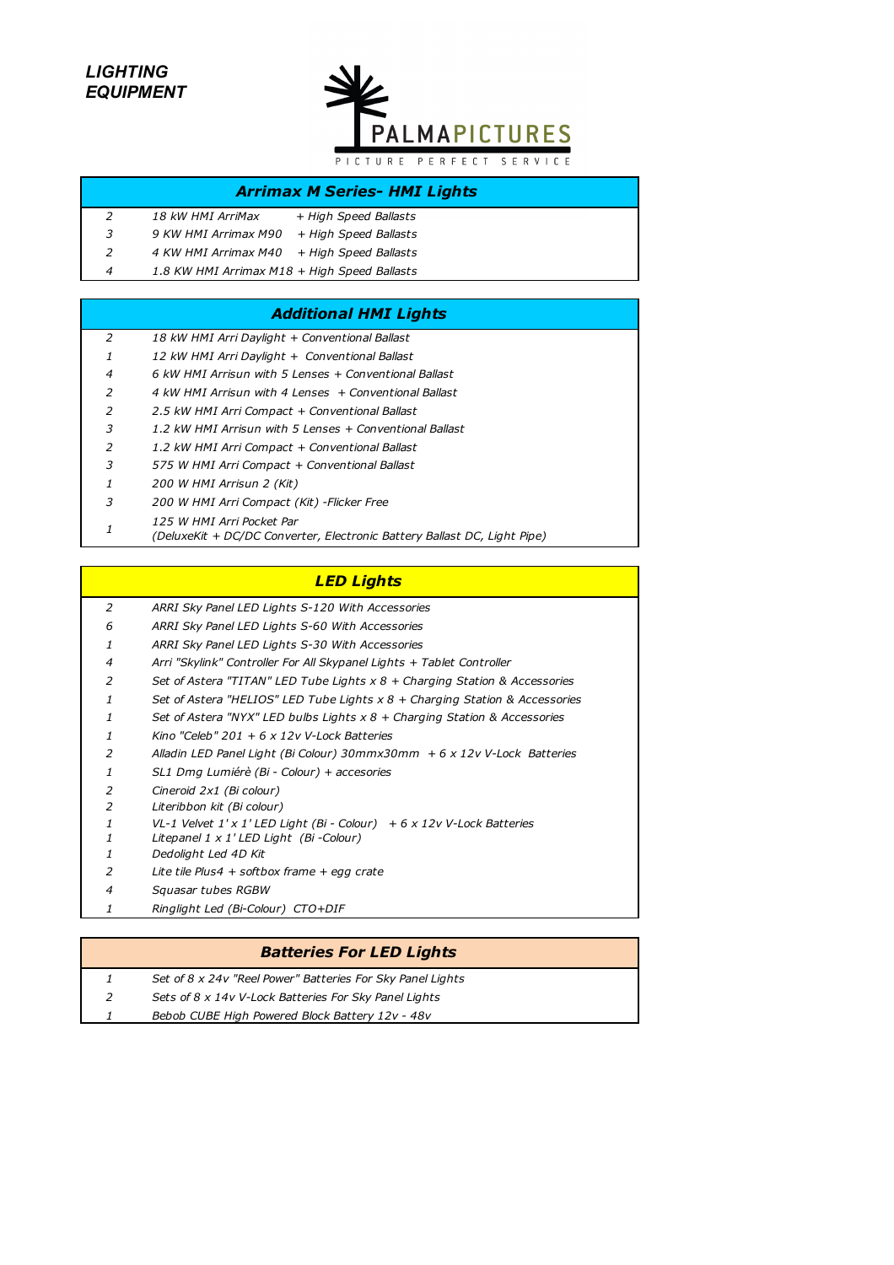# *LIGHTING EQUIPMENT*



## *Arrimax M Series- HMI Lights*

| $\mathcal{P}$ | <i>18 kW HMI ArriMax</i>                     | + High Speed Ballasts |
|---------------|----------------------------------------------|-----------------------|
| 3             | 9 KW HMI Arrimax M90                         | + High Speed Ballasts |
| $\mathcal{P}$ | 4 KW HMI Arrimax M40                         | + High Speed Ballasts |
| 4             | 1.8 KW HMI Arrimax M18 + High Speed Ballasts |                       |

#### *Additional HMI Lights*

| 2            | 18 kW HMI Arri Daylight + Conventional Ballast          |  |
|--------------|---------------------------------------------------------|--|
| $\mathbf{1}$ | 12 kW HMI Arri Daylight + Conventional Ballast          |  |
| 4            | 6 kW HMI Arrisun with 5 Lenses + Conventional Ballast   |  |
| 2            | 4 kW HMI Arrisun with 4 Lenses + Conventional Ballast   |  |
| 2            | 2.5 kW HMI Arri Compact + Conventional Ballast          |  |
| 3            | 1.2 kW HMI Arrisun with 5 Lenses + Conventional Ballast |  |
| 2            | 1.2 kW HMI Arri Compact + Conventional Ballast          |  |
| 3            | 575 W HMI Arri Compact + Conventional Ballast           |  |
| $\mathbf{1}$ | 200 W HMI Arrisun 2 (Kit)                               |  |
| 3            | 200 W HMI Arri Compact (Kit) - Flicker Free             |  |
|              |                                                         |  |

- *125 W HMI Arri Pocket Par* 
	- *(DeluxeKit + DC/DC Converter, Electronic Battery Ballast DC, Light Pipe)*

## *LED Lights*

- *ARRI Sky Panel LED Lights S-120 With Accessories*
- *ARRI Sky Panel LED Lights S-60 With Accessories*
- *ARRI Sky Panel LED Lights S-30 With Accessories*
- *Arri "Skylink" Controller For All Skypanel Lights + Tablet Controller*
- *Set of Astera "TITAN" LED Tube Lights x 8 + Charging Station & Accessories*
- *Set of Astera "HELIOS" LED Tube Lights x 8 + Charging Station & Accessories*
- *Set of Astera "NYX" LED bulbs Lights x 8 + Charging Station & Accessories*
- *Kino "Celeb" 201 + 6 x 12v V-Lock Batteries*
- *Alladin LED Panel Light (Bi Colour) 30mmx30mm + 6 x 12v V-Lock Batteries*
- *SL1 Dmg Lumiérè (Bi Colour) + accesories*
- *Cineroid 2x1 (Bi colour)*
- *Literibbon kit (Bi colour)*
- *VL-1 Velvet 1' x 1' LED Light (Bi Colour) + 6 x 12v V-Lock Batteries*
- *Litepanel 1 x 1' LED Light (Bi -Colour)*
- *Dedolight Led 4D Kit*
- *Lite tile Plus4 + softbox frame + egg crate*
- *Squasar tubes RGBW*
- *Ringlight Led (Bi-Colour) CTO+DIF*

#### *Batteries For LED Lights*

- *Set of 8 x 24v "Reel Power" Batteries For Sky Panel Lights*
- *Sets of 8 x 14v V-Lock Batteries For Sky Panel Lights*
- *Bebob CUBE High Powered Block Battery 12v 48v*